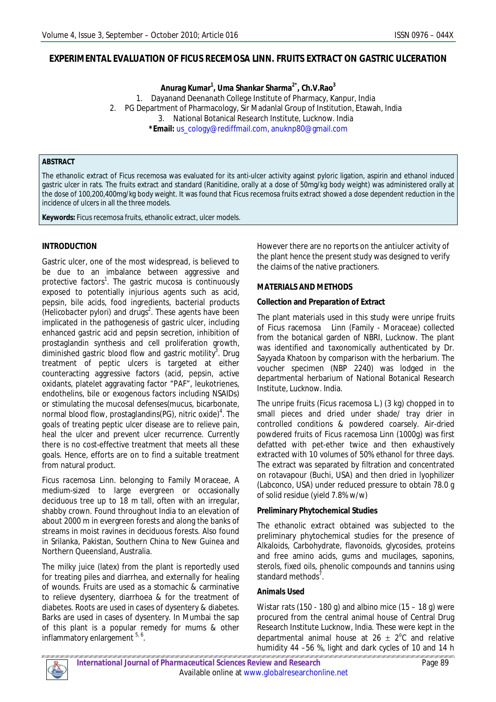### **EXPERIMENTAL EVALUATION OF** *FICUS RECEMOSA* **LINN. FRUITS EXTRACT ON GASTRIC ULCERATION**

**Anurag Kumar<sup>1</sup> , Uma Shankar Sharma2\*, Ch.V.Rao<sup>3</sup>**

1. Dayanand Deenanath College Institute of Pharmacy, Kanpur, India 2. PG Department of Pharmacology, Sir Madanlal Group of Institution, Etawah, India 3. National Botanical Research Institute, Lucknow. India **\*Email:** us\_cology@rediffmail.com, anuknp80@gmail.com

#### **ABSTRACT**

The ethanolic extract of Ficus recemosa was evaluated for its anti-ulcer activity against pyloric ligation, aspirin and ethanol induced gastric ulcer in rats. The fruits extract and standard (Ranitidine, orally at a dose of 50mg/kg body weight) was administered orally at the dose of 100,200,400mg/kg body weight. It was found that Ficus recemosa fruits extract showed a dose dependent reduction in the incidence of ulcers in all the three models.

**Keywords:** Ficus recemosa fruits, ethanolic extract, ulcer models.

#### **INTRODUCTION**

Gastric ulcer, one of the most widespread, is believed to be due to an imbalance between aggressive and protective factors<sup>1</sup>. The gastric mucosa is continuously exposed to potentially injurious agents such as acid, pepsin, bile acids, food ingredients, bacterial products (*Helicobacter pylori*) and drugs<sup>2</sup>. These agents have been implicated in the pathogenesis of gastric ulcer, including enhanced gastric acid and pepsin secretion, inhibition of prostaglandin synthesis and cell proliferation growth, diminished gastric blood flow and gastric motility<sup>3</sup>. Drug treatment of peptic ulcers is targeted at either counteracting aggressive factors (acid, pepsin, active oxidants, platelet aggravating factor "PAF", leukotrienes, endothelins, bile or exogenous factors including NSAIDs) or stimulating the mucosal defenses(mucus, bicarbonate, normal blood flow, prostaglandins(PG), nitric oxide)<sup>4</sup>. The goals of treating peptic ulcer disease are to relieve pain, heal the ulcer and prevent ulcer recurrence. Currently there is no cost-effective treatment that meets all these goals. Hence, efforts are on to find a suitable treatment from natural product.

*Ficus racemosa* Linn. belonging to Family Moraceae, A medium-sized to large evergreen or occasionally deciduous tree up to 18 m tall, often with an irregular, shabby crown. Found throughout India to an elevation of about 2000 m in evergreen forests and along the banks of streams in moist ravines in deciduous forests. Also found in Srilanka, Pakistan, Southern China to New Guinea and Northern Queensland, Australia.

The milky juice (latex) from the plant is reportedly used for treating piles and diarrhea, and externally for healing of wounds. Fruits are used as a stomachic & carminative to relieve dysentery, diarrhoea & for the treatment of diabetes. Roots are used in cases of dysentery & diabetes. Barks are used in cases of dysentery. In Mumbai the sap of this plant is a popular remedy for mums & other inflammatory enlargement <sup>5, 6</sup>.

However there are no reports on the antiulcer activity of the plant hence the present study was designed to verify the claims of the native practioners.

#### **MATERIALS AND METHODS**

#### **Collection and Preparation of Extract**

The plant materials used in this study were unripe fruits of Ficus racemosaLinn (Family - Moraceae) collected from the botanical garden of NBRI, Lucknow. The plant was identified and taxonomically authenticated by Dr. Sayyada Khatoon by comparison with the herbarium. The voucher specimen (NBP 2240) was lodged in the departmental herbarium of National Botanical Research Institute, Lucknow. India.

The unripe fruits (Ficus racemosa L.) (3 kg) chopped in to small pieces and dried under shade/ tray drier in controlled conditions & powdered coarsely. Air-dried powdered fruits of Ficus racemosa Linn (1000g) was first defatted with pet-ether twice and then exhaustively extracted with 10 volumes of 50% ethanol for three days. The extract was separated by filtration and concentrated on rotavapour (Buchi, USA) and then dried in lyophilizer (Labconco, USA) under reduced pressure to obtain 78.0 g of solid residue (yield 7.8% w/w)

#### **Preliminary Phytochemical Studies**

The ethanolic extract obtained was subjected to the preliminary phytochemical studies for the presence of Alkaloids, Carbohydrate, flavonoids, glycosides, proteins and free amino acids, gums and mucilages, saponins, sterols, fixed oils, phenolic compounds and tannins using standard methods<sup>7</sup>.

#### **Animals Used**

Wistar rats (150 - 180 g) and albino mice (15 – 18 g) were procured from the central animal house of Central Drug Research Institute Lucknow, India. These were kept in the departmental animal house at 26  $\pm$  2<sup>o</sup>C and relative humidity 44 –56 %, light and dark cycles of 10 and 14 h .<br>11 101 1 101 1 101 1 101 1 101 1 101 1 101 1 101 1 101 1 101 1 101 101 101 101 101 101 101 101 101 101 101 101 101 101 101 101 101 101 101 101 101 101 101 101 101 101 101 101 101 101 101 .<br>7 Mart - Ant I ant I an I an I an I

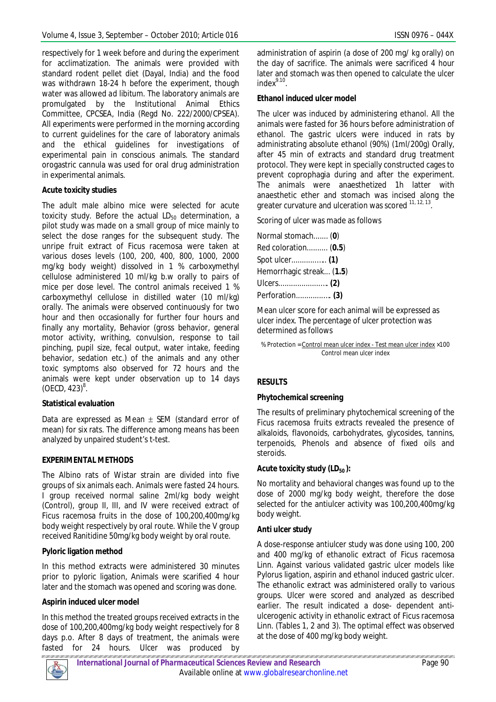respectively for 1 week before and during the experiment for acclimatization. The animals were provided with standard rodent pellet diet (Dayal, India) and the food was withdrawn 18-24 h before the experiment, though water was allowed *ad libitum*. The laboratory animals are promulgated by the Institutional Animal Ethics Committee, CPCSEA, India (Regd No. 222/2000/CPSEA). All experiments were performed in the morning according to current guidelines for the care of laboratory animals and the ethical guidelines for investigations of experimental pain in conscious animals. The standard orogastric cannula was used for oral drug administration in experimental animals.

# **Acute toxicity studies**

The adult male albino mice were selected for acute toxicity study. Before the actual  $LD_{50}$  determination, a pilot study was made on a small group of mice mainly to select the dose ranges for the subsequent study. The unripe fruit extract of Ficus racemosa were taken at various doses levels (100, 200, 400, 800, 1000, 2000 mg/kg body weight) dissolved in 1 % carboxymethyl cellulose administered 10 ml/kg b.w orally to pairs of mice per dose level. The control animals received 1 % carboxymethyl cellulose in distilled water (10 ml/kg) orally. The animals were observed continuously for two hour and then occasionally for further four hours and finally any mortality, Behavior (gross behavior, general motor activity, writhing, convulsion, response to tail pinching, pupil size, fecal output, water intake, feeding behavior, sedation etc.) of the animals and any other toxic symptoms also observed for 72 hours and the animals were kept under observation up to 14 days  $(OECD, 423)^8$ .

# **Statistical evaluation**

Data are expressed as Mean  $\pm$  SEM (standard error of mean) for six rats. The difference among means has been analyzed by unpaired student's t-test.

# *EXPERIMENTAL METHODS*

The Albino rats of Wistar strain are divided into five groups of six animals each. Animals were fasted 24 hours. I group received normal saline 2ml/kg body weight (Control), group II, III, and IV were received extract of Ficus racemosa fruits in the dose of 100,200,400mg/kg body weight respectively by oral route. While the V group received Ranitidine 50mg/kg body weight by oral route.

# **Pyloric ligation method**

In this method extracts were administered 30 minutes prior to pyloric ligation, Animals were scarified 4 hour later and the stomach was opened and scoring was done.

# **Aspirin induced ulcer model**

In this method the treated groups received extracts in the dose of 100,200,400mg/kg body weight respectively for 8 days p.o. After 8 days of treatment, the animals were fasted for 24 hours. Ulcer was produced by

administration of aspirin (a dose of 200 mg/ kg orally) on the day of sacrifice. The animals were sacrificed 4 hour later and stomach was then opened to calculate the ulcer index $^{9.10}$ .

### **Ethanol induced ulcer model**

The ulcer was induced by administering ethanol. All the animals were fasted for 36 hours before administration of ethanol. The gastric ulcers were induced in rats by administrating absolute ethanol (90%) (1ml/200g) Orally, after 45 min of extracts and standard drug treatment protocol. They were kept in specially constructed cages to prevent coprophagia during and after the experiment. The animals were anaesthetized 1h latter with anaesthetic ether and stomach was incised along the greater curvature and ulceration was scored <sup>11, 12, 13</sup>.

Scoring of ulcer was made as follows

Mean ulcer score for each animal will be expressed as ulcer index. The percentage of ulcer protection was determined as follows

% Protection = Control mean ulcer index - Test mean ulcer index ×100 Control mean ulcer index

# **RESULTS**

# **Phytochemical screening**

The results of preliminary phytochemical screening of the *Ficus racemosa* fruits extracts revealed the presence of alkaloids, flavonoids, carbohydrates, glycosides, tannins, terpenoids, Phenols and absence of fixed oils and steroids.

# **Acute toxicity study (LD50 ):**

No mortality and behavioral changes was found up to the dose of 2000 mg/kg body weight, therefore the dose selected for the antiulcer activity was 100,200,400mg/kg body weight.

# **Anti ulcer study**

A dose-response antiulcer study was done using 100, 200 and 400 mg/kg of ethanolic extract of Ficus racemosa Linn. Against various validated gastric ulcer models like Pylorus ligation, aspirin and ethanol induced gastric ulcer. The ethanolic extract was administered orally to various groups. Ulcer were scored and analyzed as described earlier. The result indicated a dose- dependent antiulcerogenic activity in ethanolic extract of Ficus racemosa Linn. (Tables 1, 2 and 3). The optimal effect was observed at the dose of 400 mg/kg body weight.

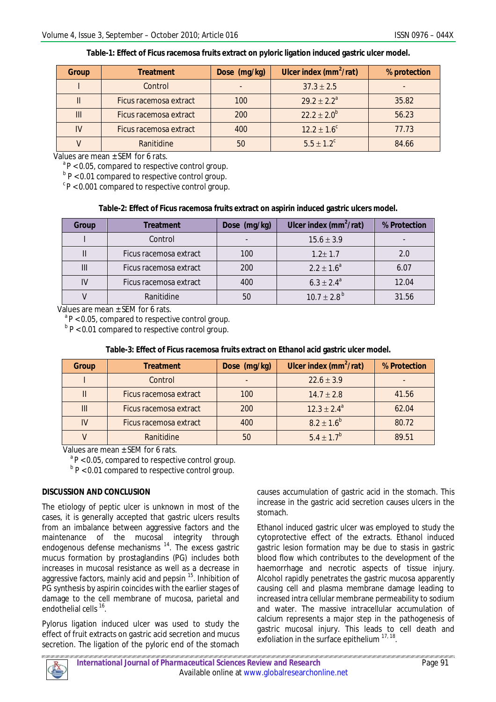| Table-1: Effect of Ficus racemosa fruits extract on pyloric ligation induced gastric ulcer model. |  |  |
|---------------------------------------------------------------------------------------------------|--|--|
|                                                                                                   |  |  |

| Group | <b>Treatment</b>       | Dose (mg/kg) | Ulcer index $(mm^2/rat)$ | % protection |
|-------|------------------------|--------------|--------------------------|--------------|
|       | Control                |              | $37.3 \pm 2.5$           |              |
|       | Ficus racemosa extract | 100          | $29.2 \pm 2.2^a$         | 35.82        |
| III   | Ficus racemosa extract | 200          | $22.2 \pm 2.0^b$         | 56.23        |
| IV    | Ficus racemosa extract | 400          | $12.2 \pm 1.6^c$         | 77.73        |
|       | Ranitidine             | 50           | $5.5 \pm 1.2^c$          | 84.66        |

Values are mean  $\pm$  SEM for 6 rats.

 $a^{\circ}P < 0.05$ , compared to respective control group.

<sup>b</sup> P < 0.01 compared to respective control group.

 $c<sub>P</sub>$  < 0.001 compared to respective control group.

#### **Table-2: Effect of Ficus racemosa fruits extract on aspirin induced gastric ulcers model.**

| Group | Treatment              | Dose (mg/kg) | Ulcer index $(mm^2/rat)$ | % Protection |
|-------|------------------------|--------------|--------------------------|--------------|
|       | Control                |              | $15.6 \pm 3.9$           |              |
|       | Ficus racemosa extract | 100          | $1.2 \pm 1.7$            | 2.0          |
| Ш     | Ficus racemosa extract | 200          | $2.2 \pm 1.6^a$          | 6.07         |
| IV    | Ficus racemosa extract | 400          | $6.3 \pm 2.4^{\circ}$    | 12.04        |
|       | Ranitidine             | 50           | $10.7 \pm 2.8^{b}$       | 31.56        |

Values are mean + SEM for 6 rats.

 $a^2P < 0.05$ , compared to respective control group.

 $b$  P < 0.01 compared to respective control group.

| Group | <b>Treatment</b>       | Dose (mg/kg) | Ulcer index $(mm^2/rat)$ | % Protection |
|-------|------------------------|--------------|--------------------------|--------------|
|       | Control                |              | $22.6 \pm 3.9$           |              |
|       | Ficus racemosa extract | 100          | $14.7 \pm 2.8$           | 41.56        |
| Ш     | Ficus racemosa extract | 200          | $12.3 \pm 2.4^{\circ}$   | 62.04        |
| IV    | Ficus racemosa extract | 400          | $8.2 \pm 1.6^{b}$        | 80.72        |
|       | Ranitidine             | 50           | $5.4 \pm 1.7^{b}$        | 89.51        |

#### **Table-3: Effect of** *Ficus racemosa* **fruits extract on Ethanol acid gastric ulcer model.**

Values are mean + SFM for 6 rats.

 $a^P$  P < 0.05, compared to respective control group.

 $b$  P < 0.01 compared to respective control group.

#### **DISCUSSION AND CONCLUSION**

The etiology of peptic ulcer is unknown in most of the cases, it is generally accepted that gastric ulcers results from an imbalance between aggressive factors and the maintenance of the mucosal integrity through endogenous defense mechanisms<sup>14</sup>. The excess gastric mucus formation by prostaglandins (PG) includes both increases in mucosal resistance as well as a decrease in aggressive factors, mainly acid and pepsin <sup>15</sup>. Inhibition of PG synthesis by aspirin coincides with the earlier stages of damage to the cell membrane of mucosa, parietal and endothelial cells <sup>16</sup>.

Pylorus ligation induced ulcer was used to study the effect of fruit extracts on gastric acid secretion and mucus secretion. The ligation of the pyloric end of the stomach causes accumulation of gastric acid in the stomach. This increase in the gastric acid secretion causes ulcers in the stomach.

Ethanol induced gastric ulcer was employed to study the cytoprotective effect of the extracts. Ethanol induced gastric lesion formation may be due to stasis in gastric blood flow which contributes to the development of the haemorrhage and necrotic aspects of tissue injury. Alcohol rapidly penetrates the gastric mucosa apparently causing cell and plasma membrane damage leading to increased intra cellular membrane permeability to sodium and water. The massive intracellular accumulation of calcium represents a major step in the pathogenesis of gastric mucosal injury. This leads to cell death and exfoliation in the surface epithelium 17, 18.